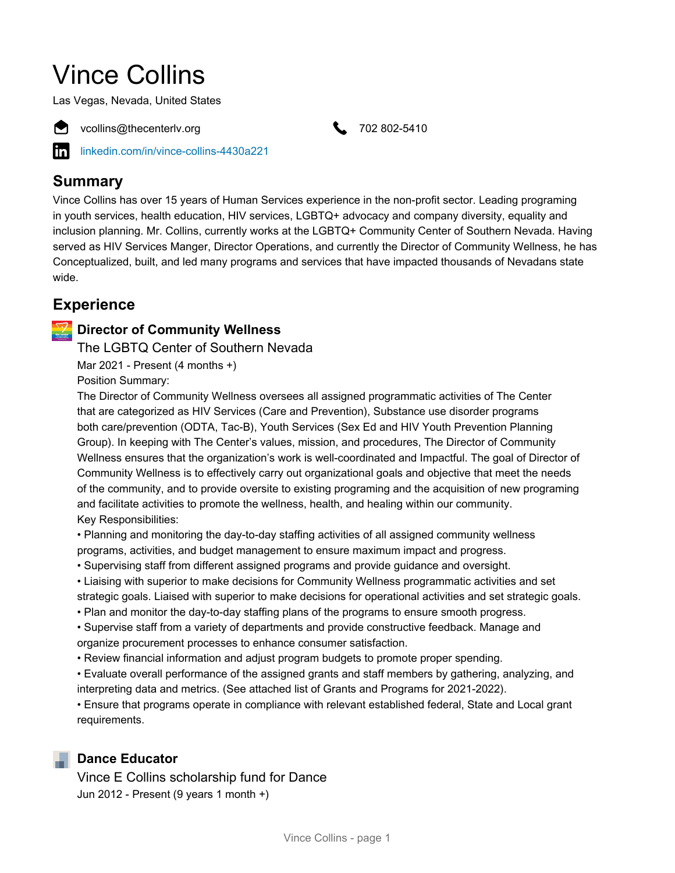# Vince Collins

Las Vegas, Nevada, United States



● vcollins@thecenterly.org 302-5410

[linkedin.com/in/vince-collins-4430a221](https://www.linkedin.com/in/vince-collins-4430a221)

#### **Summary**

Vince Collins has over 15 years of Human Services experience in the non-profit sector. Leading programing in youth services, health education, HIV services, LGBTQ+ advocacy and company diversity, equality and inclusion planning. Mr. Collins, currently works at the LGBTQ+ Community Center of Southern Nevada. Having served as HIV Services Manger, Director Operations, and currently the Director of Community Wellness, he has Conceptualized, built, and led many programs and services that have impacted thousands of Nevadans state wide.

### **Experience**

#### **Director of Community Wellness**

The LGBTQ Center of Southern Nevada

Mar 2021 - Present (4 months +)

Position Summary:

The Director of Community Wellness oversees all assigned programmatic activities of The Center that are categorized as HIV Services (Care and Prevention), Substance use disorder programs both care/prevention (ODTA, Tac-B), Youth Services (Sex Ed and HIV Youth Prevention Planning Group). In keeping with The Center's values, mission, and procedures, The Director of Community Wellness ensures that the organization's work is well-coordinated and Impactful. The goal of Director of Community Wellness is to effectively carry out organizational goals and objective that meet the needs of the community, and to provide oversite to existing programing and the acquisition of new programing and facilitate activities to promote the wellness, health, and healing within our community. Key Responsibilities:

• Planning and monitoring the day-to-day staffing activities of all assigned community wellness programs, activities, and budget management to ensure maximum impact and progress.

- Supervising staff from different assigned programs and provide guidance and oversight.
- Liaising with superior to make decisions for Community Wellness programmatic activities and set strategic goals. Liaised with superior to make decisions for operational activities and set strategic goals.
- Plan and monitor the day-to-day staffing plans of the programs to ensure smooth progress.

• Supervise staff from a variety of departments and provide constructive feedback. Manage and organize procurement processes to enhance consumer satisfaction.

• Review financial information and adjust program budgets to promote proper spending.

• Evaluate overall performance of the assigned grants and staff members by gathering, analyzing, and interpreting data and metrics. (See attached list of Grants and Programs for 2021-2022).

• Ensure that programs operate in compliance with relevant established federal, State and Local grant requirements.

#### **Dance Educator**

Vince E Collins scholarship fund for Dance Jun 2012 - Present (9 years 1 month +)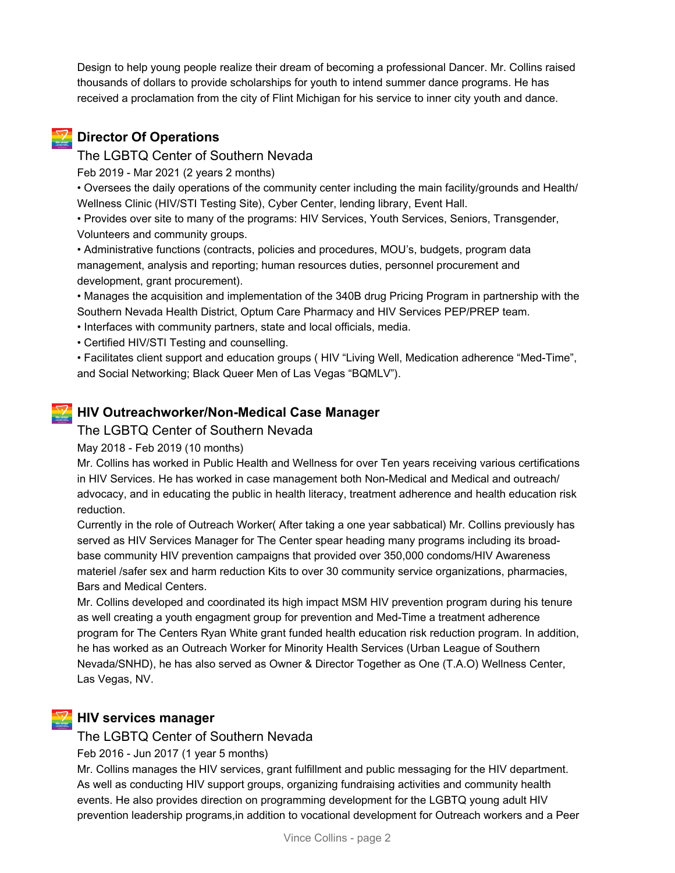Design to help young people realize their dream of becoming a professional Dancer. Mr. Collins raised thousands of dollars to provide scholarships for youth to intend summer dance programs. He has received a proclamation from the city of Flint Michigan for his service to inner city youth and dance.

#### **Director Of Operations**

#### The LGBTQ Center of Southern Nevada

Feb 2019 - Mar 2021 (2 years 2 months)

• Oversees the daily operations of the community center including the main facility/grounds and Health/ Wellness Clinic (HIV/STI Testing Site), Cyber Center, lending library, Event Hall.

• Provides over site to many of the programs: HIV Services, Youth Services, Seniors, Transgender, Volunteers and community groups.

• Administrative functions (contracts, policies and procedures, MOU's, budgets, program data management, analysis and reporting; human resources duties, personnel procurement and development, grant procurement).

• Manages the acquisition and implementation of the 340B drug Pricing Program in partnership with the Southern Nevada Health District, Optum Care Pharmacy and HIV Services PEP/PREP team.

• Interfaces with community partners, state and local officials, media.

• Certified HIV/STI Testing and counselling.

• Facilitates client support and education groups ( HIV "Living Well, Medication adherence "Med-Time", and Social Networking; Black Queer Men of Las Vegas "BQMLV").

#### **HIV Outreachworker/Non-Medical Case Manager**

#### The LGBTQ Center of Southern Nevada

May 2018 - Feb 2019 (10 months)

Mr. Collins has worked in Public Health and Wellness for over Ten years receiving various certifications in HIV Services. He has worked in case management both Non-Medical and Medical and outreach/ advocacy, and in educating the public in health literacy, treatment adherence and health education risk reduction.

Currently in the role of Outreach Worker( After taking a one year sabbatical) Mr. Collins previously has served as HIV Services Manager for The Center spear heading many programs including its broadbase community HIV prevention campaigns that provided over 350,000 condoms/HIV Awareness materiel /safer sex and harm reduction Kits to over 30 community service organizations, pharmacies, Bars and Medical Centers.

Mr. Collins developed and coordinated its high impact MSM HIV prevention program during his tenure as well creating a youth engagment group for prevention and Med-Time a treatment adherence program for The Centers Ryan White grant funded health education risk reduction program. In addition, he has worked as an Outreach Worker for Minority Health Services (Urban League of Southern Nevada/SNHD), he has also served as Owner & Director Together as One (T.A.O) Wellness Center, Las Vegas, NV.

#### **HIV services manager**

The LGBTQ Center of Southern Nevada

Feb 2016 - Jun 2017 (1 year 5 months)

Mr. Collins manages the HIV services, grant fulfillment and public messaging for the HIV department. As well as conducting HIV support groups, organizing fundraising activities and community health events. He also provides direction on programming development for the LGBTQ young adult HIV prevention leadership programs,in addition to vocational development for Outreach workers and a Peer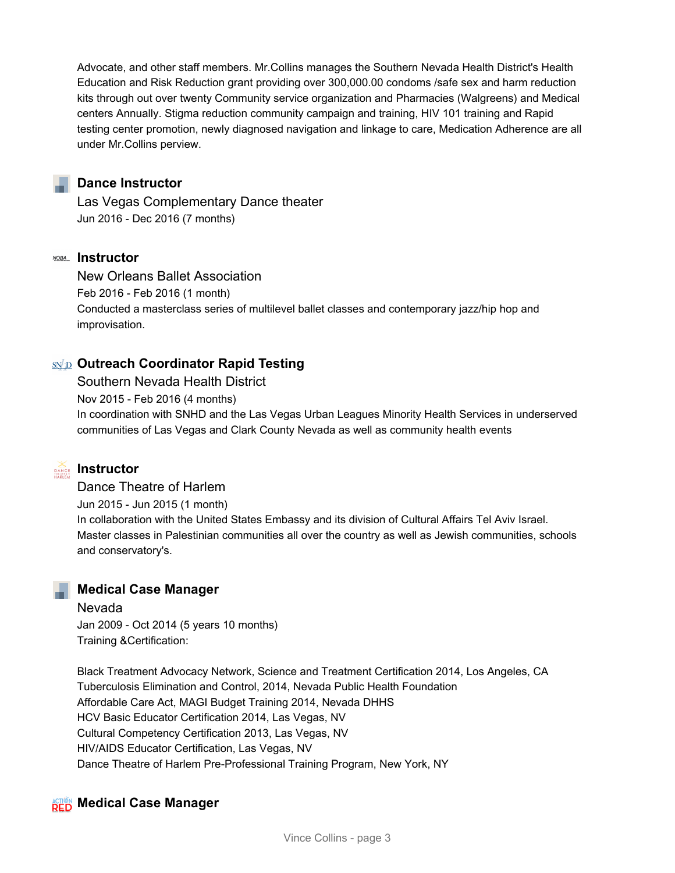Advocate, and other staff members. Mr.Collins manages the Southern Nevada Health District's Health Education and Risk Reduction grant providing over 300,000.00 condoms /safe sex and harm reduction kits through out over twenty Community service organization and Pharmacies (Walgreens) and Medical centers Annually. Stigma reduction community campaign and training, HIV 101 training and Rapid testing center promotion, newly diagnosed navigation and linkage to care, Medication Adherence are all under Mr.Collins perview.

#### **Dance Instructor**

Las Vegas Complementary Dance theater Jun 2016 - Dec 2016 (7 months)

#### **Instructor**

New Orleans Ballet Association Feb 2016 - Feb 2016 (1 month) Conducted a masterclass series of multilevel ballet classes and contemporary jazz/hip hop and improvisation.

#### **Outreach Coordinator Rapid Testing**

Southern Nevada Health District

Nov 2015 - Feb 2016 (4 months)

In coordination with SNHD and the Las Vegas Urban Leagues Minority Health Services in underserved communities of Las Vegas and Clark County Nevada as well as community health events



## **Instructor**

Dance Theatre of Harlem Jun 2015 - Jun 2015 (1 month) In collaboration with the United States Embassy and its division of Cultural Affairs Tel Aviv Israel. Master classes in Palestinian communities all over the country as well as Jewish communities, schools and conservatory's.

#### **Medical Case Manager**

Nevada Jan 2009 - Oct 2014 (5 years 10 months) Training &Certification:

Black Treatment Advocacy Network, Science and Treatment Certification 2014, Los Angeles, CA Tuberculosis Elimination and Control, 2014, Nevada Public Health Foundation Affordable Care Act, MAGI Budget Training 2014, Nevada DHHS HCV Basic Educator Certification 2014, Las Vegas, NV Cultural Competency Certification 2013, Las Vegas, NV HIV/AIDS Educator Certification, Las Vegas, NV Dance Theatre of Harlem Pre-Professional Training Program, New York, NY

#### **ACTION** Medical Case Manager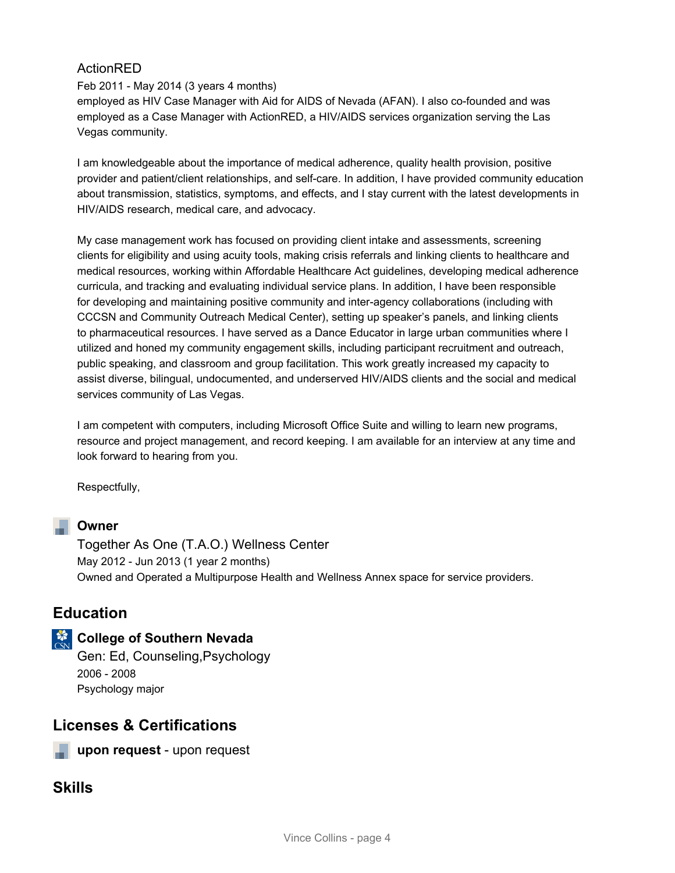#### ActionRED

Feb 2011 - May 2014 (3 years 4 months) employed as HIV Case Manager with Aid for AIDS of Nevada (AFAN). I also co-founded and was employed as a Case Manager with ActionRED, a HIV/AIDS services organization serving the Las Vegas community.

I am knowledgeable about the importance of medical adherence, quality health provision, positive provider and patient/client relationships, and self-care. In addition, I have provided community education about transmission, statistics, symptoms, and effects, and I stay current with the latest developments in HIV/AIDS research, medical care, and advocacy.

My case management work has focused on providing client intake and assessments, screening clients for eligibility and using acuity tools, making crisis referrals and linking clients to healthcare and medical resources, working within Affordable Healthcare Act guidelines, developing medical adherence curricula, and tracking and evaluating individual service plans. In addition, I have been responsible for developing and maintaining positive community and inter-agency collaborations (including with CCCSN and Community Outreach Medical Center), setting up speaker's panels, and linking clients to pharmaceutical resources. I have served as a Dance Educator in large urban communities where I utilized and honed my community engagement skills, including participant recruitment and outreach, public speaking, and classroom and group facilitation. This work greatly increased my capacity to assist diverse, bilingual, undocumented, and underserved HIV/AIDS clients and the social and medical services community of Las Vegas.

I am competent with computers, including Microsoft Office Suite and willing to learn new programs, resource and project management, and record keeping. I am available for an interview at any time and look forward to hearing from you.

Respectfully,

#### **Owner**

Together As One (T.A.O.) Wellness Center May 2012 - Jun 2013 (1 year 2 months) Owned and Operated a Multipurpose Health and Wellness Annex space for service providers.

#### **Education**

**College of Southern Nevada** 

Gen: Ed, Counseling,Psychology 2006 - 2008 Psychology major

#### **Licenses & Certifications**

**upon request** - upon request

#### **Skills**